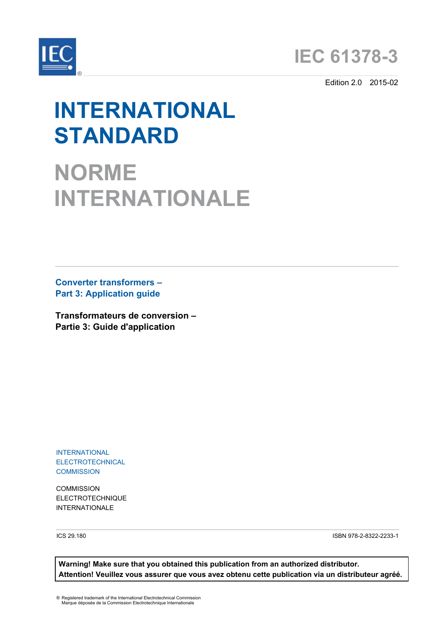



Edition 2.0 2015-02

# **INTERNATIONAL STANDARD**

**NORME INTERNATIONALE**

**Converter transformers – Part 3: Application guide**

**Transformateurs de conversion – Partie 3: Guide d'application**

INTERNATIONAL ELECTROTECHNICAL **COMMISSION** 

**COMMISSION** ELECTROTECHNIQUE INTERNATIONALE

ICS 29.180 ISBN 978-2-8322-2233-1

**Warning! Make sure that you obtained this publication from an authorized distributor. Attention! Veuillez vous assurer que vous avez obtenu cette publication via un distributeur agréé.**

® Registered trademark of the International Electrotechnical Commission Marque déposée de la Commission Electrotechnique Internationale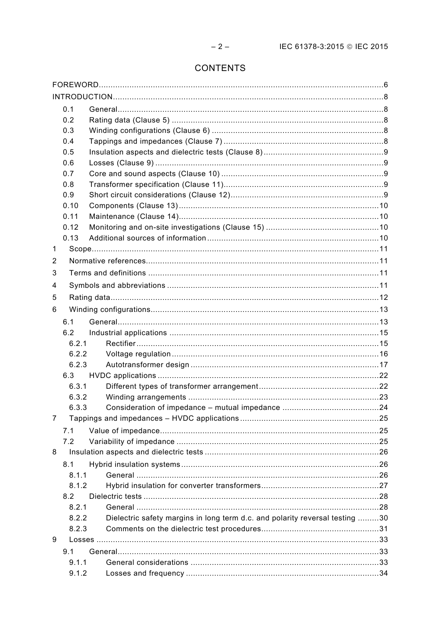| <b>CONTENTS</b> |  |
|-----------------|--|
|-----------------|--|

|   | 0.1   |                                                                              |  |
|---|-------|------------------------------------------------------------------------------|--|
|   | 0.2   |                                                                              |  |
|   | 0.3   |                                                                              |  |
|   | 0.4   |                                                                              |  |
|   | 0.5   |                                                                              |  |
|   | 0.6   |                                                                              |  |
|   | 0.7   |                                                                              |  |
|   | 0.8   |                                                                              |  |
|   | 0.9   |                                                                              |  |
|   | 0.10  |                                                                              |  |
|   | 0.11  |                                                                              |  |
|   | 0.12  |                                                                              |  |
|   | 0.13  |                                                                              |  |
| 1 |       |                                                                              |  |
| 2 |       |                                                                              |  |
| 3 |       |                                                                              |  |
| 4 |       |                                                                              |  |
|   |       |                                                                              |  |
| 5 |       |                                                                              |  |
| 6 |       |                                                                              |  |
|   | 6.1   |                                                                              |  |
|   | 6.2   |                                                                              |  |
|   | 6.2.1 |                                                                              |  |
|   | 6.2.2 |                                                                              |  |
|   | 6.2.3 |                                                                              |  |
|   | 6.3   |                                                                              |  |
|   | 6.3.1 |                                                                              |  |
|   | 6.3.2 |                                                                              |  |
|   | 6.3.3 |                                                                              |  |
| 7 |       |                                                                              |  |
|   | 7.1   |                                                                              |  |
|   | 7.2   |                                                                              |  |
| 8 |       |                                                                              |  |
|   | 8.1   |                                                                              |  |
|   | 8.1.1 |                                                                              |  |
|   | 8.1.2 |                                                                              |  |
|   | 8.2   |                                                                              |  |
|   | 8.2.1 |                                                                              |  |
|   | 8.2.2 | Dielectric safety margins in long term d.c. and polarity reversal testing 30 |  |
|   | 8.2.3 |                                                                              |  |
| 9 |       |                                                                              |  |
|   | 9.1   |                                                                              |  |
|   | 9.1.1 |                                                                              |  |
|   | 9.1.2 |                                                                              |  |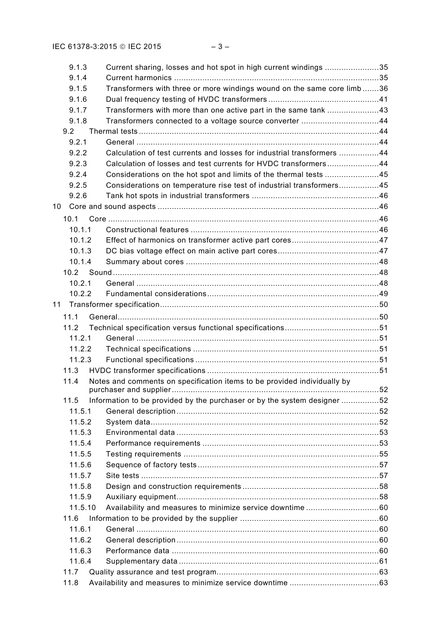|      | 9.1.3   | Current sharing, losses and hot spot in high current windings 35         |  |
|------|---------|--------------------------------------------------------------------------|--|
|      | 9.1.4   |                                                                          |  |
|      | 9.1.5   | Transformers with three or more windings wound on the same core limb36   |  |
|      | 9.1.6   |                                                                          |  |
|      | 9.1.7   | Transformers with more than one active part in the same tank 43          |  |
|      | 9.1.8   |                                                                          |  |
| 9.2  |         |                                                                          |  |
|      | 9.2.1   |                                                                          |  |
|      | 9.2.2   | Calculation of test currents and losses for industrial transformers 44   |  |
|      | 9.2.3   | Calculation of losses and test currents for HVDC transformers44          |  |
|      | 9.2.4   | Considerations on the hot spot and limits of the thermal tests 45        |  |
|      | 9.2.5   | Considerations on temperature rise test of industrial transformers45     |  |
|      | 9.2.6   |                                                                          |  |
| 10   |         |                                                                          |  |
| 10.1 |         |                                                                          |  |
|      | 10.1.1  |                                                                          |  |
|      | 10.1.2  |                                                                          |  |
|      | 10.1.3  |                                                                          |  |
|      | 10.1.4  |                                                                          |  |
|      |         |                                                                          |  |
|      | 10.2.1  |                                                                          |  |
|      | 10.2.2  |                                                                          |  |
| 11   |         |                                                                          |  |
| 11.1 |         |                                                                          |  |
| 11.2 |         |                                                                          |  |
|      | 11.2.1  |                                                                          |  |
|      | 11.2.2  |                                                                          |  |
|      | 11.2.3  |                                                                          |  |
| 11.3 |         |                                                                          |  |
| 11.4 |         | Notes and comments on specification items to be provided individually by |  |
| 11.5 |         | Information to be provided by the purchaser or by the system designer 52 |  |
|      | 11.5.1  |                                                                          |  |
|      | 11.5.2  |                                                                          |  |
|      | 11.5.3  |                                                                          |  |
|      | 11.5.4  |                                                                          |  |
|      | 11.5.5  |                                                                          |  |
|      | 11.5.6  |                                                                          |  |
|      | 11.5.7  |                                                                          |  |
|      | 11.5.8  |                                                                          |  |
|      | 11.5.9  |                                                                          |  |
|      | 11.5.10 | Availability and measures to minimize service downtime60                 |  |
| 11.6 |         |                                                                          |  |
|      | 11.6.1  |                                                                          |  |
|      | 11.6.2  |                                                                          |  |
|      | 11.6.3  |                                                                          |  |
|      | 11.6.4  |                                                                          |  |
| 11.7 |         |                                                                          |  |
| 11.8 |         |                                                                          |  |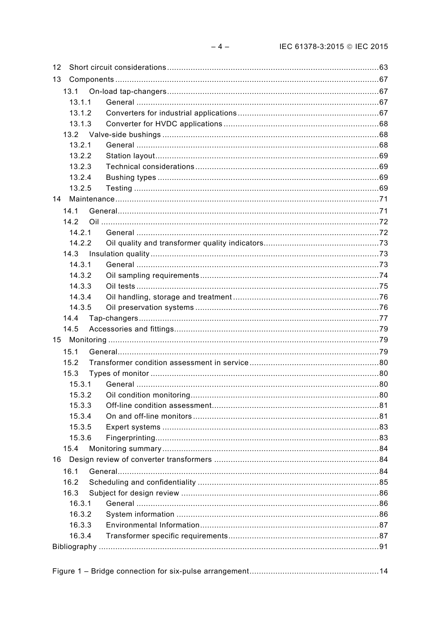| 12     |  |  |
|--------|--|--|
| 13     |  |  |
| 13.1   |  |  |
| 13.1.1 |  |  |
| 13.1.2 |  |  |
| 13.1.3 |  |  |
| 13.2   |  |  |
| 13.2.1 |  |  |
| 13.2.2 |  |  |
| 13.2.3 |  |  |
| 13.2.4 |  |  |
| 13.2.5 |  |  |
| 14     |  |  |
| 14.1   |  |  |
| 14.2   |  |  |
| 14.2.1 |  |  |
| 14.2.2 |  |  |
| 14.3   |  |  |
| 14.3.1 |  |  |
| 14.3.2 |  |  |
| 14.3.3 |  |  |
| 14.3.4 |  |  |
| 14.3.5 |  |  |
| 14.4   |  |  |
| 14.5   |  |  |
| 15     |  |  |
| 15.1   |  |  |
| 15.2   |  |  |
| 15.3   |  |  |
| 15.3.1 |  |  |
| 15.3.2 |  |  |
| 15.3.3 |  |  |
| 15.3.4 |  |  |
| 15.3.5 |  |  |
| 15.3.6 |  |  |
| 15.4   |  |  |
|        |  |  |
| 16.1   |  |  |
| 16.2   |  |  |
| 16.3   |  |  |
| 16.3.1 |  |  |
| 16.3.2 |  |  |
| 16.3.3 |  |  |
| 16.3.4 |  |  |
|        |  |  |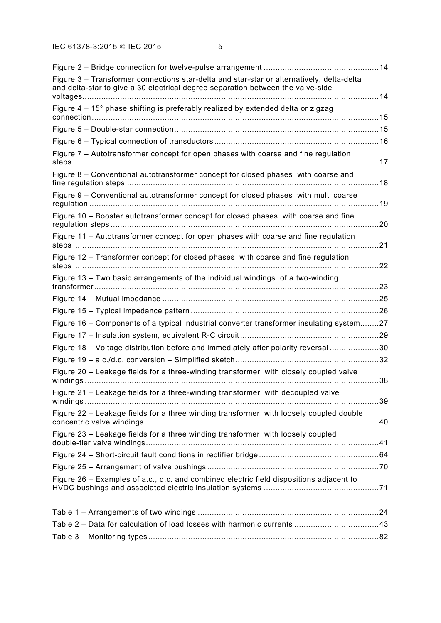| Figure 3 - Transformer connections star-delta and star-star or alternatively, delta-delta<br>and delta-star to give a 30 electrical degree separation between the valve-side |     |
|------------------------------------------------------------------------------------------------------------------------------------------------------------------------------|-----|
| Figure 4 - 15° phase shifting is preferably realized by extended delta or zigzag                                                                                             |     |
|                                                                                                                                                                              |     |
|                                                                                                                                                                              |     |
|                                                                                                                                                                              |     |
| Figure 7 - Autotransformer concept for open phases with coarse and fine regulation                                                                                           |     |
| Figure 8 - Conventional autotransformer concept for closed phases with coarse and                                                                                            |     |
| Figure 9 - Conventional autotransformer concept for closed phases with multi coarse                                                                                          | 19  |
| Figure 10 - Booster autotransformer concept for closed phases with coarse and fine                                                                                           | 20  |
| Figure 11 - Autotransformer concept for open phases with coarse and fine regulation                                                                                          | .21 |
| Figure 12 - Transformer concept for closed phases with coarse and fine regulation                                                                                            | 22  |
| Figure 13 - Two basic arrangements of the individual windings of a two-winding                                                                                               |     |
|                                                                                                                                                                              |     |
|                                                                                                                                                                              |     |
| Figure 16 – Components of a typical industrial converter transformer insulating system27                                                                                     |     |
|                                                                                                                                                                              |     |
| Figure 18 - Voltage distribution before and immediately after polarity reversal 30                                                                                           |     |
|                                                                                                                                                                              |     |
| Figure 20 - Leakage fields for a three-winding transformer with closely coupled valve                                                                                        | .38 |
| Figure 21 - Leakage fields for a three-winding transformer with decoupled valve                                                                                              |     |
| Figure 22 - Leakage fields for a three winding transformer with loosely coupled double                                                                                       |     |
| Figure 23 - Leakage fields for a three winding transformer with loosely coupled                                                                                              |     |
|                                                                                                                                                                              |     |
|                                                                                                                                                                              |     |
| Figure 26 – Examples of a.c., d.c. and combined electric field dispositions adjacent to                                                                                      |     |
|                                                                                                                                                                              |     |
| Table 2 - Data for calculation of load losses with harmonic currents 43                                                                                                      |     |
|                                                                                                                                                                              |     |
|                                                                                                                                                                              |     |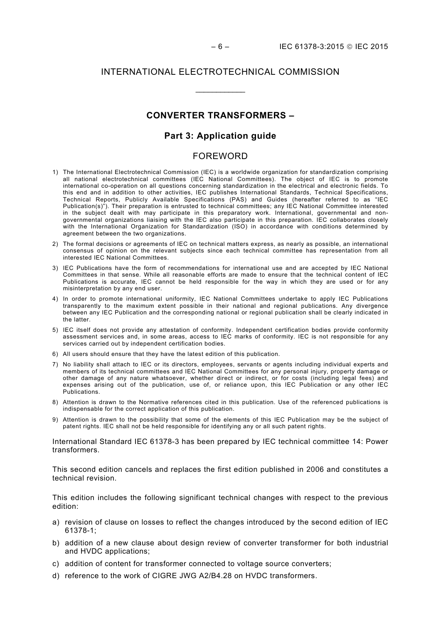# INTERNATIONAL ELECTROTECHNICAL COMMISSION

 $\overline{\phantom{a}}$ 

# **CONVERTER TRANSFORMERS –**

# **Part 3: Application guide**

## FOREWORD

- <span id="page-5-0"></span>1) The International Electrotechnical Commission (IEC) is a worldwide organization for standardization comprising all national electrotechnical committees (IEC National Committees). The object of IEC is to promote international co-operation on all questions concerning standardization in the electrical and electronic fields. To this end and in addition to other activities, IEC publishes International Standards, Technical Specifications, Technical Reports, Publicly Available Specifications (PAS) and Guides (hereafter referred to as "IEC Publication(s)"). Their preparation is entrusted to technical committees; any IEC National Committee interested in the subject dealt with may participate in this preparatory work. International, governmental and nongovernmental organizations liaising with the IEC also participate in this preparation. IEC collaborates closely with the International Organization for Standardization (ISO) in accordance with conditions determined by agreement between the two organizations.
- 2) The formal decisions or agreements of IEC on technical matters express, as nearly as possible, an international consensus of opinion on the relevant subjects since each technical committee has representation from all interested IEC National Committees.
- 3) IEC Publications have the form of recommendations for international use and are accepted by IEC National Committees in that sense. While all reasonable efforts are made to ensure that the technical content of IEC Publications is accurate, IEC cannot be held responsible for the way in which they are used or for any misinterpretation by any end user.
- 4) In order to promote international uniformity, IEC National Committees undertake to apply IEC Publications transparently to the maximum extent possible in their national and regional publications. Any divergence between any IEC Publication and the corresponding national or regional publication shall be clearly indicated in the latter.
- 5) IEC itself does not provide any attestation of conformity. Independent certification bodies provide conformity assessment services and, in some areas, access to IEC marks of conformity. IEC is not responsible for any services carried out by independent certification bodies.
- 6) All users should ensure that they have the latest edition of this publication.
- 7) No liability shall attach to IEC or its directors, employees, servants or agents including individual experts and members of its technical committees and IEC National Committees for any personal injury, property damage or other damage of any nature whatsoever, whether direct or indirect, or for costs (including legal fees) and expenses arising out of the publication, use of, or reliance upon, this IEC Publication or any other IEC Publications.
- 8) Attention is drawn to the Normative references cited in this publication. Use of the referenced publications is indispensable for the correct application of this publication.
- 9) Attention is drawn to the possibility that some of the elements of this IEC Publication may be the subject of patent rights. IEC shall not be held responsible for identifying any or all such patent rights.

International Standard IEC 61378-3 has been prepared by IEC technical committee 14: Power transformers.

This second edition cancels and replaces the first edition published in 2006 and constitutes a technical revision.

This edition includes the following significant technical changes with respect to the previous edition:

- a) revision of clause on losses to reflect the changes introduced by the second edition of IEC 61378-1;
- b) addition of a new clause about design review of converter transformer for both industrial and HVDC applications;
- c) addition of content for transformer connected to voltage source converters;
- d) reference to the work of CIGRE JWG A2/B4.28 on HVDC transformers.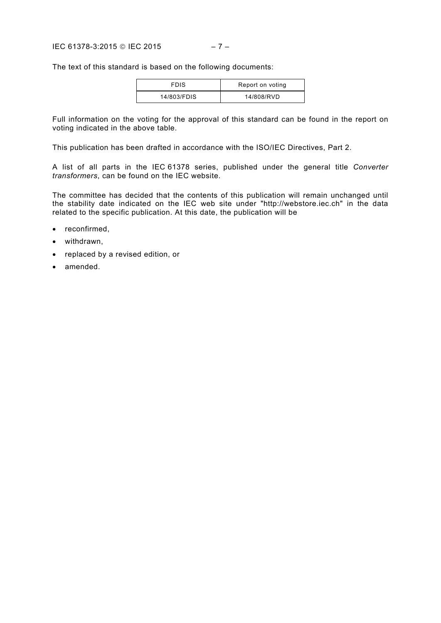The text of this standard is based on the following documents:

| <b>FDIS</b> | Report on voting |
|-------------|------------------|
| 14/803/FDIS | 14/808/RVD       |

Full information on the voting for the approval of this standard can be found in the report on voting indicated in the above table.

This publication has been drafted in accordance with the ISO/IEC Directives, Part 2.

A list of all parts in the IEC 61378 series, published under the general title *Converter transformers*, can be found on the IEC website.

The committee has decided that the contents of this publication will remain unchanged until the stability date indicated on the IEC web site under "http://webstore.iec.ch" in the data related to the specific publication. At this date, the publication will be

- reconfirmed,
- withdrawn,
- replaced by a revised edition, or
- amended.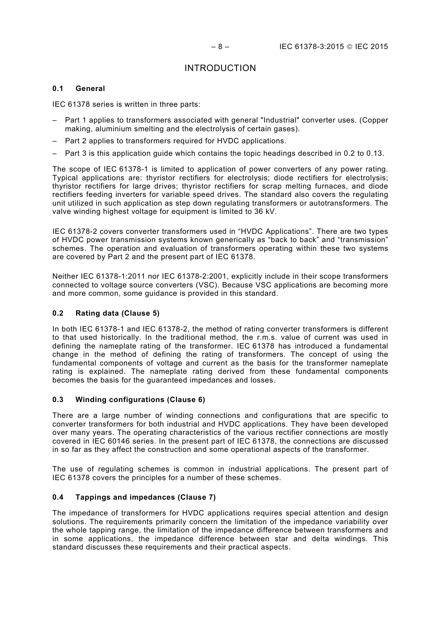# INTRODUCTION

## <span id="page-7-1"></span><span id="page-7-0"></span>**0.1 General**

IEC 61378 series is written in three parts:

- Part 1 applies to transformers associated with general "Industrial" converter uses. (Copper making, aluminium smelting and the electrolysis of certain gases).
- Part 2 applies to transformers required for HVDC applications.
- Part 3 is this application guide which contains the topic headings described in 0.2 to 0.13.

The scope of IEC 61378-1 is limited to application of power converters of any power rating. Typical applications are: thyristor rectifiers for electrolysis; diode rectifiers for electrolysis; thyristor rectifiers for large drives; thyristor rectifiers for scrap melting furnaces, and diode rectifiers feeding inverters for variable speed drives. The standard also covers the regulating unit utilized in such application as step down regulating transformers or autotransformers. The valve winding highest voltage for equipment is limited to 36 kV*.*

IEC 61378-2 covers converter transformers used in "HVDC Applications". There are two types of HVDC power transmission systems known generically as "back to back" and "transmission" schemes. The operation and evaluation of transformers operating within these two systems are covered by Part 2 and the present part of IEC 61378.

Neither IEC 61378-1:2011 nor IEC 61378-2:2001, explicitly include in their scope transformers connected to voltage source converters (VSC). Because VSC applications are becoming more and more common, some guidance is provided in this standard.

## <span id="page-7-2"></span>**0.2 Rating data (Clause 5)**

In both IEC 61378-1 and IEC 61378-2, the method of rating converter transformers is different to that used historically. In the traditional method, the r.m.s. value of current was used in defining the nameplate rating of the transformer. IEC 61378 has introduced a fundamental change in the method of defining the rating of transformers. The concept of using the fundamental components of voltage and current as the basis for the transformer nameplate rating is explained. The nameplate rating derived from these fundamental components becomes the basis for the guaranteed impedances and losses.

#### <span id="page-7-3"></span>**0.3 Winding configurations (Clause 6)**

There are a large number of winding connections and configurations that are specific to converter transformers for both industrial and HVDC applications. They have been developed over many years. The operating characteristics of the various rectifier connections are mostly covered in IEC 60146 series. In the present part of IEC 61378, the connections are discussed in so far as they affect the construction and some operational aspects of the transformer.

The use of regulating schemes is common in industrial applications. The present part of IEC 61378 covers the principles for a number of these schemes.

# <span id="page-7-4"></span>**0.4 Tappings and impedances (Clause 7)**

The impedance of transformers for HVDC applications requires special attention and design solutions. The requirements primarily concern the limitation of the impedance variability over the whole tapping range, the limitation of the impedance difference between transformers and in some applications, the impedance difference between star and delta windings. This standard discusses these requirements and their practical aspects.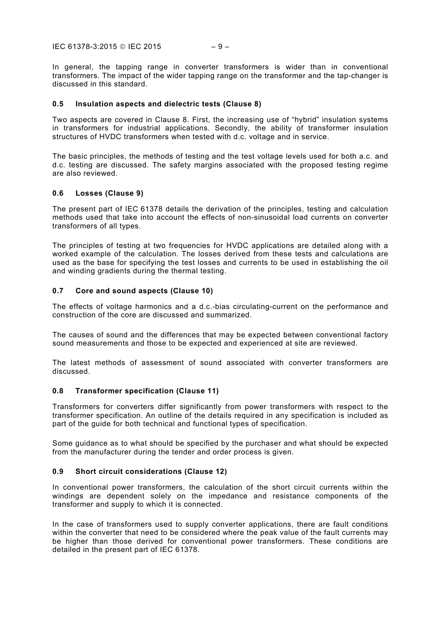## IFC 61378-3:2015 © IFC 2015  $-9-$

In general, the tapping range in converter transformers is wider than in conventional transformers. The impact of the wider tapping range on the transformer and the tap-changer is discussed in this standard.

## <span id="page-8-0"></span>**0.5 Insulation aspects and dielectric tests (Clause 8)**

Two aspects are covered in Clause 8. First, the increasing use of "hybrid" insulation systems in transformers for industrial applications. Secondly, the ability of transformer insulation structures of HVDC transformers when tested with d.c. voltage and in service.

The basic principles, the methods of testing and the test voltage levels used for both a.c. and d.c. testing are discussed. The safety margins associated with the proposed testing regime are also reviewed.

## <span id="page-8-1"></span>**0.6 Losses (Clause 9)**

The present part of IEC 61378 details the derivation of the principles, testing and calculation methods used that take into account the effects of non-sinusoidal load currents on converter transformers of all types.

The principles of testing at two frequencies for HVDC applications are detailed along with a worked example of the calculation. The losses derived from these tests and calculations are used as the base for specifying the test losses and currents to be used in establishing the oil and winding gradients during the thermal testing.

## <span id="page-8-2"></span>**0.7 Core and sound aspects (Clause 10)**

The effects of voltage harmonics and a d.c.-bias circulating-current on the performance and construction of the core are discussed and summarized.

The causes of sound and the differences that may be expected between conventional factory sound measurements and those to be expected and experienced at site are reviewed.

The latest methods of assessment of sound associated with converter transformers are discussed.

#### <span id="page-8-3"></span>**0.8 Transformer specification (Clause 11)**

Transformers for converters differ significantly from power transformers with respect to the transformer specification. An outline of the details required in any specification is included as part of the guide for both technical and functional types of specification.

Some guidance as to what should be specified by the purchaser and what should be expected from the manufacturer during the tender and order process is given.

# <span id="page-8-4"></span>**0.9 Short circuit considerations (Clause 12)**

In conventional power transformers, the calculation of the short circuit currents within the windings are dependent solely on the impedance and resistance components of the transformer and supply to which it is connected.

In the case of transformers used to supply converter applications, there are fault conditions within the converter that need to be considered where the peak value of the fault currents may be higher than those derived for conventional power transformers. These conditions are detailed in the present part of IEC 61378.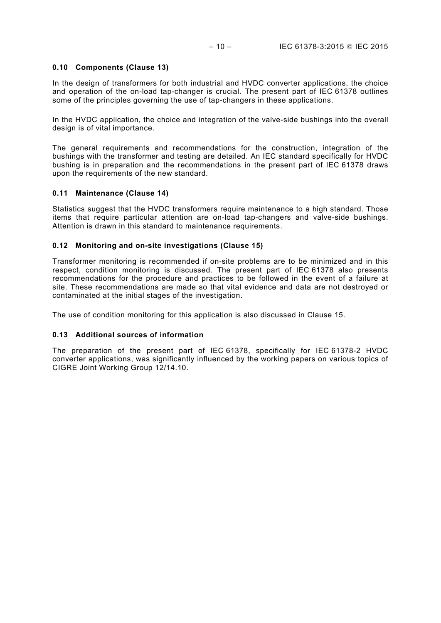# <span id="page-9-0"></span>**0.10 Components (Clause 13)**

In the design of transformers for both industrial and HVDC converter applications, the choice and operation of the on-load tap-changer is crucial. The present part of IEC 61378 outlines some of the principles governing the use of tap-changers in these applications.

In the HVDC application, the choice and integration of the valve-side bushings into the overall design is of vital importance.

The general requirements and recommendations for the construction, integration of the bushings with the transformer and testing are detailed. An IEC standard specifically for HVDC bushing is in preparation and the recommendations in the present part of IEC 61378 draws upon the requirements of the new standard.

# <span id="page-9-1"></span>**0.11 Maintenance (Clause 14)**

Statistics suggest that the HVDC transformers require maintenance to a high standard. Those items that require particular attention are on-load tap-changers and valve-side bushings. Attention is drawn in this standard to maintenance requirements.

# <span id="page-9-2"></span>**0.12 Monitoring and on-site investigations (Clause 15)**

Transformer monitoring is recommended if on-site problems are to be minimized and in this respect, condition monitoring is discussed. The present part of IEC 61378 also presents recommendations for the procedure and practices to be followed in the event of a failure at site. These recommendations are made so that vital evidence and data are not destroyed or contaminated at the initial stages of the investigation.

The use of condition monitoring for this application is also discussed in Clause 15.

#### <span id="page-9-3"></span>**0.13 Additional sources of information**

The preparation of the present part of IEC 61378, specifically for IEC 61378-2 HVDC converter applications, was significantly influenced by the working papers on various topics of CIGRE Joint Working Group 12/14.10.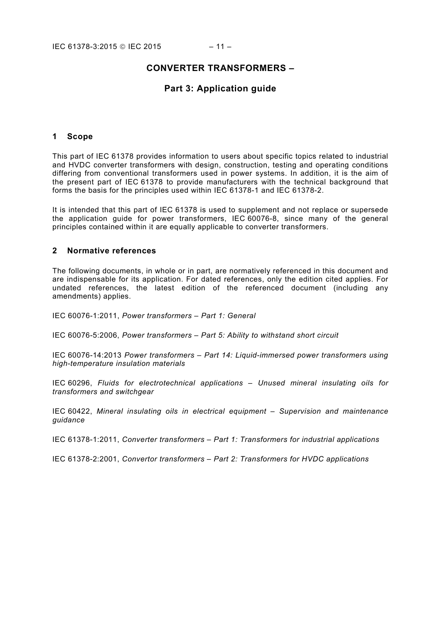# **CONVERTER TRANSFORMERS –**

# **Part 3: Application guide**

## <span id="page-10-0"></span>**1 Scope**

This part of IEC 61378 provides information to users about specific topics related to industrial and HVDC converter transformers with design, construction, testing and operating conditions differing from conventional transformers used in power systems. In addition, it is the aim of the present part of IEC 61378 to provide manufacturers with the technical background that forms the basis for the principles used within IEC 61378-1 and IEC 61378-2.

It is intended that this part of IEC 61378 is used to supplement and not replace or supersede the application guide for power transformers, IEC 60076-8, since many of the general principles contained within it are equally applicable to converter transformers.

## <span id="page-10-1"></span>**2 Normative references**

The following documents, in whole or in part, are normatively referenced in this document and are indispensable for its application. For dated references, only the edition cited applies. For undated references, the latest edition of the referenced document (including any amendments) applies.

IEC 60076-1:2011, *Power transformers – Part 1: General*

IEC 60076-5:2006, *Power transformers – Part 5: Ability to withstand short circuit*

IEC 60076-14:2013 *Power transformers – Part 14: Liquid-immersed power transformers using high-temperature insulation materials*

IEC 60296, *Fluids for electrotechnical applications – Unused mineral insulating oils for transformers and switchgear*

IEC 60422, *Mineral insulating oils in electrical equipment – Supervision and maintenance guidance*

IEC 61378-1:2011, *Converter transformers – Part 1: Transformers for industrial applications*

<span id="page-10-3"></span><span id="page-10-2"></span>IEC 61378-2:2001, *Convertor transformers – Part 2: Transformers for HVDC applications*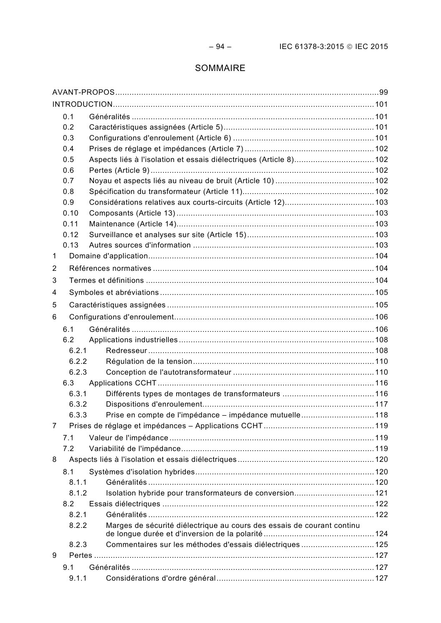# SOMMAIRE

|   | 0.1   |                                                                        |  |
|---|-------|------------------------------------------------------------------------|--|
|   | 0.2   |                                                                        |  |
|   | 0.3   |                                                                        |  |
|   | 0.4   |                                                                        |  |
|   | 0.5   | Aspects liés à l'isolation et essais diélectriques (Article 8) 102     |  |
|   | 0.6   |                                                                        |  |
|   | 0.7   |                                                                        |  |
|   | 0.8   |                                                                        |  |
|   | 0.9   |                                                                        |  |
|   | 0.10  |                                                                        |  |
|   | 0.11  |                                                                        |  |
|   | 0.12  |                                                                        |  |
|   | 0.13  |                                                                        |  |
| 1 |       |                                                                        |  |
| 2 |       |                                                                        |  |
| 3 |       |                                                                        |  |
| 4 |       |                                                                        |  |
|   |       |                                                                        |  |
| 5 |       |                                                                        |  |
| 6 |       |                                                                        |  |
|   | 6.1   |                                                                        |  |
|   | 6.2   |                                                                        |  |
|   | 6.2.1 |                                                                        |  |
|   | 6.2.2 |                                                                        |  |
|   | 6.2.3 |                                                                        |  |
|   | 6.3   |                                                                        |  |
|   | 6.3.1 |                                                                        |  |
|   | 6.3.2 |                                                                        |  |
|   | 6.3.3 | Prise en compte de l'impédance – impédance mutuelle118                 |  |
| 7 |       |                                                                        |  |
|   | 7.1   |                                                                        |  |
|   | 7.2   |                                                                        |  |
| 8 |       |                                                                        |  |
|   | 8.1   |                                                                        |  |
|   | 8.1.1 |                                                                        |  |
|   | 8.1.2 |                                                                        |  |
|   | 8.2   |                                                                        |  |
|   | 8.2.1 |                                                                        |  |
|   | 8.2.2 | Marges de sécurité diélectrique au cours des essais de courant continu |  |
|   | 8.2.3 | Commentaires sur les méthodes d'essais diélectriques  125              |  |
| 9 |       |                                                                        |  |
|   | 9.1   |                                                                        |  |
|   | 9.1.1 |                                                                        |  |
|   |       |                                                                        |  |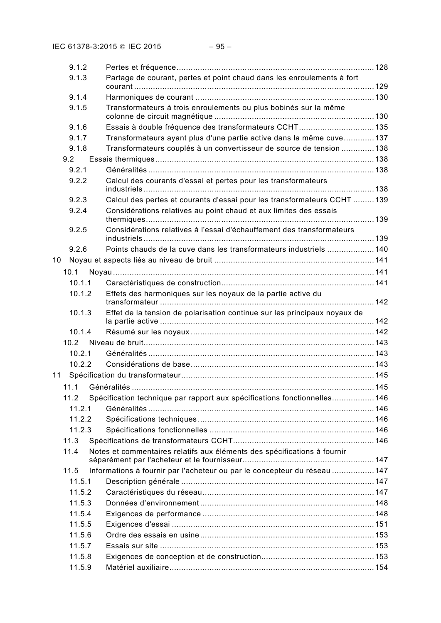|    | 9.1.2             |                                                                           |  |
|----|-------------------|---------------------------------------------------------------------------|--|
|    | 9.1.3             | Partage de courant, pertes et point chaud dans les enroulements à fort    |  |
|    | 9.1.4             |                                                                           |  |
|    | 9.1.5             | Transformateurs à trois enroulements ou plus bobinés sur la même          |  |
|    | 9.1.6             | Essais à double fréquence des transformateurs CCHT 135                    |  |
|    | 9.1.7             | Transformateurs ayant plus d'une partie active dans la même cuve 137      |  |
|    | 9.1.8             | Transformateurs couplés à un convertisseur de source de tension  138      |  |
|    | 9.2               |                                                                           |  |
|    | 9.2.1             |                                                                           |  |
|    | 9.2.2             | Calcul des courants d'essai et pertes pour les transformateurs            |  |
|    | 9.2.3             | Calcul des pertes et courants d'essai pour les transformateurs CCHT139    |  |
|    | 9.2.4             | Considérations relatives au point chaud et aux limites des essais         |  |
|    | 9.2.5             | Considérations relatives à l'essai d'échauffement des transformateurs     |  |
|    | 9.2.6             | Points chauds de la cuve dans les transformateurs industriels 140         |  |
| 10 |                   |                                                                           |  |
|    | 10.1              |                                                                           |  |
|    | 10.1.1            |                                                                           |  |
|    | 10.1.2            | Effets des harmoniques sur les noyaux de la partie active du              |  |
|    | 10.1.3            | Effet de la tension de polarisation continue sur les principaux noyaux de |  |
|    | 10.1.4            |                                                                           |  |
|    | 10.2 <sub>1</sub> |                                                                           |  |
|    | 10.2.1            |                                                                           |  |
|    | 10.2.2            |                                                                           |  |
| 11 |                   |                                                                           |  |
|    | 11.1              |                                                                           |  |
|    | 11.2              | Spécification technique par rapport aux spécifications fonctionnelles 146 |  |
|    | 11.2.1            |                                                                           |  |
|    | 11.2.2            |                                                                           |  |
|    | 11.2.3            |                                                                           |  |
|    | 11.3              |                                                                           |  |
|    | 11.4              | Notes et commentaires relatifs aux éléments des spécifications à fournir  |  |
|    | 11.5              | Informations à fournir par l'acheteur ou par le concepteur du réseau  147 |  |
|    | 11.5.1            |                                                                           |  |
|    | 11.5.2            |                                                                           |  |
|    | 11.5.3            |                                                                           |  |
|    | 11.5.4            |                                                                           |  |
|    | 11.5.5            |                                                                           |  |
|    | 11.5.6            |                                                                           |  |
|    | 11.5.7            |                                                                           |  |
|    | 11.5.8            |                                                                           |  |
|    | 11.5.9            |                                                                           |  |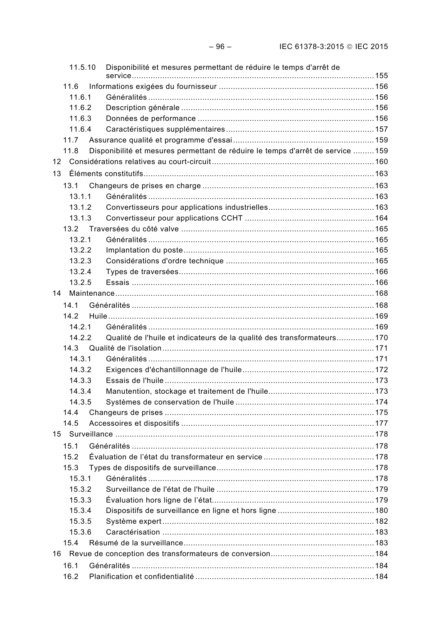|                 | 11.5.10 | Disponibilité et mesures permettant de réduire le temps d'arrêt de              |  |
|-----------------|---------|---------------------------------------------------------------------------------|--|
|                 | 11.6    |                                                                                 |  |
|                 | 11.6.1  |                                                                                 |  |
|                 | 11.6.2  |                                                                                 |  |
|                 | 11.6.3  |                                                                                 |  |
|                 | 11.6.4  |                                                                                 |  |
|                 | 11.7    |                                                                                 |  |
|                 | 11.8    | Disponibilité et mesures permettant de réduire le temps d'arrêt de service  159 |  |
| 12 <sup>2</sup> |         |                                                                                 |  |
| 13              |         |                                                                                 |  |
|                 | 13.1    |                                                                                 |  |
|                 | 13.1.1  |                                                                                 |  |
|                 | 13.1.2  |                                                                                 |  |
|                 | 13.1.3  |                                                                                 |  |
|                 |         |                                                                                 |  |
|                 | 13.2.1  |                                                                                 |  |
|                 | 13.2.2  |                                                                                 |  |
|                 | 13.2.3  |                                                                                 |  |
|                 | 13.2.4  |                                                                                 |  |
|                 | 13.2.5  |                                                                                 |  |
| 14              |         |                                                                                 |  |
|                 | 14.1    |                                                                                 |  |
|                 | 14.2    |                                                                                 |  |
|                 | 14.2.1  |                                                                                 |  |
|                 | 14.2.2  | Qualité de l'huile et indicateurs de la qualité des transformateurs170          |  |
|                 | 14.3    |                                                                                 |  |
|                 | 14.3.1  |                                                                                 |  |
|                 | 14.3.2  |                                                                                 |  |
|                 | 14.3.3  |                                                                                 |  |
|                 | 14.3.4  |                                                                                 |  |
|                 | 14.3.5  |                                                                                 |  |
|                 | 14.4    |                                                                                 |  |
|                 | 14.5    |                                                                                 |  |
|                 |         |                                                                                 |  |
|                 | 15.1    |                                                                                 |  |
|                 | 15.2    |                                                                                 |  |
|                 | 15.3    |                                                                                 |  |
|                 | 15.3.1  |                                                                                 |  |
|                 | 15.3.2  |                                                                                 |  |
|                 | 15.3.3  |                                                                                 |  |
|                 | 15.3.4  |                                                                                 |  |
|                 | 15.3.5  |                                                                                 |  |
|                 | 15.3.6  |                                                                                 |  |
|                 | 15.4    |                                                                                 |  |
| 16              |         |                                                                                 |  |
|                 | 16.1    |                                                                                 |  |
|                 | 16.2    |                                                                                 |  |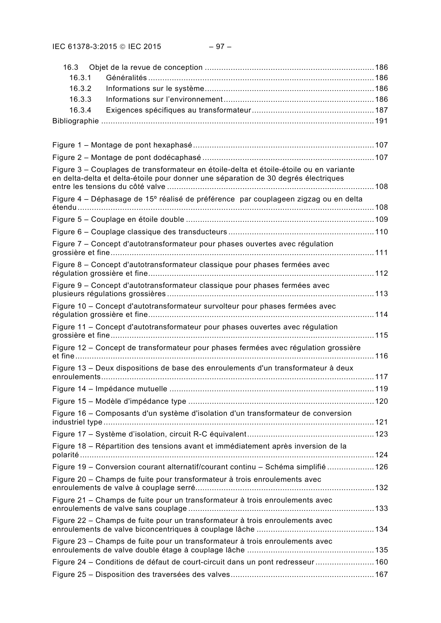| 16.3                                                                                                                                                                         |  |
|------------------------------------------------------------------------------------------------------------------------------------------------------------------------------|--|
| 16.3.1                                                                                                                                                                       |  |
| 16.3.2                                                                                                                                                                       |  |
| 16.3.3                                                                                                                                                                       |  |
| 16.3.4                                                                                                                                                                       |  |
|                                                                                                                                                                              |  |
|                                                                                                                                                                              |  |
|                                                                                                                                                                              |  |
|                                                                                                                                                                              |  |
| Figure 3 - Couplages de transformateur en étoile-delta et étoile-étoile ou en variante<br>en delta-delta et delta-étoile pour donner une séparation de 30 degrés électriques |  |
| Figure 4 - Déphasage de 15° réalisé de préférence par couplageen zigzag ou en delta                                                                                          |  |
|                                                                                                                                                                              |  |
|                                                                                                                                                                              |  |
| Figure 7 - Concept d'autotransformateur pour phases ouvertes avec régulation                                                                                                 |  |
| Figure 8 - Concept d'autotransformateur classique pour phases fermées avec                                                                                                   |  |
| Figure 9 - Concept d'autotransformateur classique pour phases fermées avec                                                                                                   |  |
| Figure 10 - Concept d'autotransformateur survolteur pour phases fermées avec                                                                                                 |  |
| Figure 11 - Concept d'autotransformateur pour phases ouvertes avec régulation                                                                                                |  |
| Figure 12 - Concept de transformateur pour phases fermées avec régulation grossière                                                                                          |  |
| Figure 13 - Deux dispositions de base des enroulements d'un transformateur à deux                                                                                            |  |
|                                                                                                                                                                              |  |
|                                                                                                                                                                              |  |
| Figure 16 - Composants d'un système d'isolation d'un transformateur de conversion                                                                                            |  |
|                                                                                                                                                                              |  |
| Figure 18 – Répartition des tensions avant et immédiatement après inversion de la                                                                                            |  |
| Figure 19 - Conversion courant alternatif/courant continu - Schéma simplifié  126                                                                                            |  |
| Figure 20 – Champs de fuite pour transformateur à trois enroulements avec                                                                                                    |  |
| Figure 21 – Champs de fuite pour un transformateur à trois enroulements avec                                                                                                 |  |
| Figure 22 - Champs de fuite pour un transformateur à trois enroulements avec                                                                                                 |  |
| Figure 23 – Champs de fuite pour un transformateur à trois enroulements avec                                                                                                 |  |
| Figure 24 – Conditions de défaut de court-circuit dans un pont redresseur  160                                                                                               |  |
|                                                                                                                                                                              |  |
|                                                                                                                                                                              |  |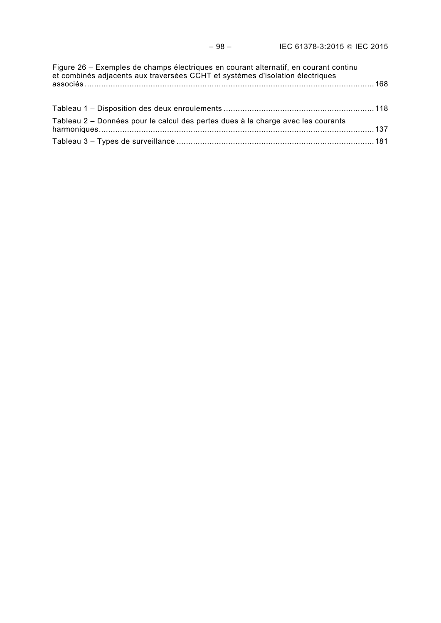| Figure 26 – Exemples de champs électriques en courant alternatif, en courant continu<br>et combinés adjacents aux traversées CCHT et systèmes d'isolation électriques |  |
|-----------------------------------------------------------------------------------------------------------------------------------------------------------------------|--|
|                                                                                                                                                                       |  |
| Tableau 2 – Données pour le calcul des pertes dues à la charge avec les courants                                                                                      |  |

Tableau 3 – Types de surveillance ....................................................................................181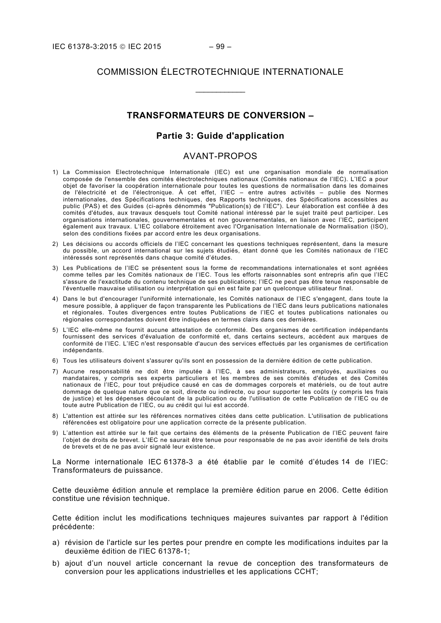# COMMISSION ÉLECTROTECHNIQUE INTERNATIONALE

 $\overline{\phantom{a}}$ 

# **TRANSFORMATEURS DE CONVERSION –**

# **Partie 3: Guide d'application**

# AVANT-PROPOS

- <span id="page-16-0"></span>1) La Commission Electrotechnique Internationale (IEC) est une organisation mondiale de normalisation composée de l'ensemble des comités électrotechniques nationaux (Comités nationaux de l'IEC). L'IEC a pour objet de favoriser la coopération internationale pour toutes les questions de normalisation dans les domaines de l'électricité et de l'électronique. À cet effet, l'IEC – entre autres activités – publie des Normes internationales, des Spécifications techniques, des Rapports techniques, des Spécifications accessibles au public (PAS) et des Guides (ci-après dénommés "Publication(s) de l'IEC"). Leur élaboration est confiée à des comités d'études, aux travaux desquels tout Comité national intéressé par le sujet traité peut participer. Les organisations internationales, gouvernementales et non gouvernementales, en liaison avec l'IEC, participent également aux travaux. L'IEC collabore étroitement avec l'Organisation Internationale de Normalisation (ISO), selon des conditions fixées par accord entre les deux organisations.
- 2) Les décisions ou accords officiels de l'IEC concernant les questions techniques représentent, dans la mesure du possible, un accord international sur les sujets étudiés, étant donné que les Comités nationaux de l'IEC intéressés sont représentés dans chaque comité d'études.
- 3) Les Publications de l'IEC se présentent sous la forme de recommandations internationales et sont agréées comme telles par les Comités nationaux de l'IEC. Tous les efforts raisonnables sont entrepris afin que l'IEC s'assure de l'exactitude du contenu technique de ses publications; l'IEC ne peut pas être tenue responsable de l'éventuelle mauvaise utilisation ou interprétation qui en est faite par un quelconque utilisateur final.
- 4) Dans le but d'encourager l'uniformité internationale, les Comités nationaux de l'IEC s'engagent, dans toute la mesure possible, à appliquer de façon transparente les Publications de l'IEC dans leurs publications nationales et régionales. Toutes divergences entre toutes Publications de l'IEC et toutes publications nationales ou régionales correspondantes doivent être indiquées en termes clairs dans ces dernières.
- 5) L'IEC elle-même ne fournit aucune attestation de conformité. Des organismes de certification indépendants fournissent des services d'évaluation de conformité et, dans certains secteurs, accèdent aux marques de conformité de l'IEC. L'IEC n'est responsable d'aucun des services effectués par les organismes de certification indépendants.
- 6) Tous les utilisateurs doivent s'assurer qu'ils sont en possession de la dernière édition de cette publication.
- 7) Aucune responsabilité ne doit être imputée à l'IEC, à ses administrateurs, employés, auxiliaires ou mandataires, y compris ses experts particuliers et les membres de ses comités d'études et des Comités nationaux de l'IEC, pour tout préjudice causé en cas de dommages corporels et matériels, ou de tout autre dommage de quelque nature que ce soit, directe ou indirecte, ou pour supporter les coûts (y compris les frais de justice) et les dépenses découlant de la publication ou de l'utilisation de cette Publication de l'IEC ou de toute autre Publication de l'IEC, ou au crédit qui lui est accordé.
- 8) L'attention est attirée sur les références normatives citées dans cette publication. L'utilisation de publications référencées est obligatoire pour une application correcte de la présente publication.
- 9) L'attention est attirée sur le fait que certains des éléments de la présente Publication de l'IEC peuvent faire l'objet de droits de brevet. L'IEC ne saurait être tenue pour responsable de ne pas avoir identifié de tels droits de brevets et de ne pas avoir signalé leur existence.

La Norme internationale IEC 61378-3 a été établie par le comité d'études 14 de l'IEC: Transformateurs de puissance.

Cette deuxième édition annule et remplace la première édition parue en 2006. Cette édition constitue une révision technique.

Cette édition inclut les modifications techniques majeures suivantes par rapport à l'édition précédente:

- a) révision de l'article sur les pertes pour prendre en compte les modifications induites par la deuxième édition de l'IEC 61378-1;
- b) ajout d'un nouvel article concernant la revue de conception des transformateurs de conversion pour les applications industrielles et les applications CCHT;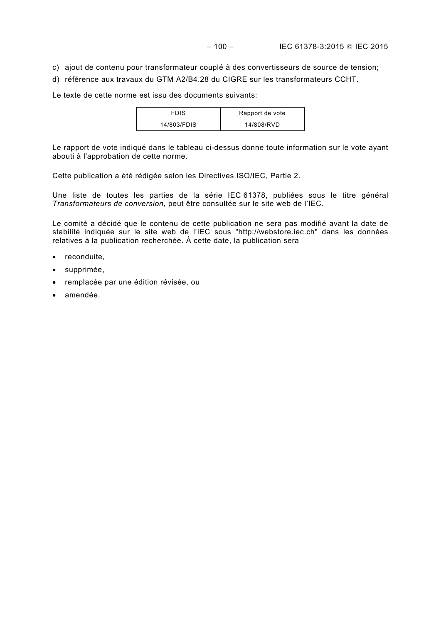- c) ajout de contenu pour transformateur couplé à des convertisseurs de source de tension;
- d) référence aux travaux du GTM A2/B4.28 du CIGRE sur les transformateurs CCHT.

Le texte de cette norme est issu des documents suivants:

| <b>FDIS</b> | Rapport de vote |
|-------------|-----------------|
| 14/803/FDIS | 14/808/RVD      |

Le rapport de vote indiqué dans le tableau ci-dessus donne toute information sur le vote ayant abouti à l'approbation de cette norme.

Cette publication a été rédigée selon les Directives ISO/IEC, Partie 2.

Une liste de toutes les parties de la série IEC 61378, publiées sous le titre général *Transformateurs de conversion*, peut être consultée sur le site web de l'IEC.

Le comité a décidé que le contenu de cette publication ne sera pas modifié avant la date de stabilité indiquée sur le site web de l'IEC sous "http://webstore.iec.ch" dans les données relatives à la publication recherchée. À cette date, la publication sera

- reconduite,
- supprimée,
- remplacée par une édition révisée, ou
- amendée.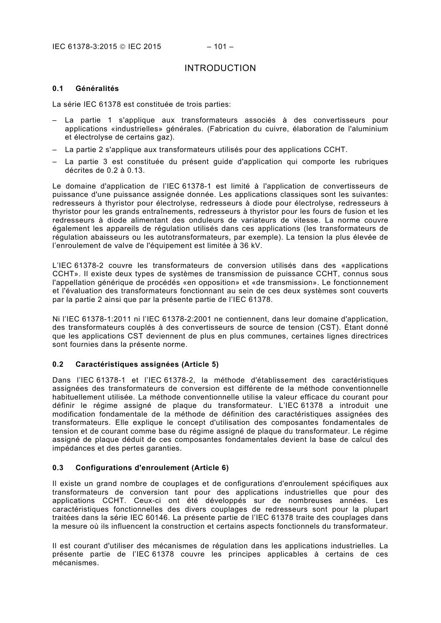# INTRODUCTION

#### <span id="page-18-1"></span><span id="page-18-0"></span>**0.1 Généralités**

La série IEC 61378 est constituée de trois parties:

- La partie 1 s'applique aux transformateurs associés à des convertisseurs pour applications «industrielles» générales. (Fabrication du cuivre, élaboration de l'aluminium et électrolyse de certains gaz).
- La partie 2 s'applique aux transformateurs utilisés pour des applications CCHT.
- La partie 3 est constituée du présent guide d'application qui comporte les rubriques décrites de 0.2 à 0.13.

Le domaine d'application de l'IEC 61378-1 est limité à l'application de convertisseurs de puissance d'une puissance assignée donnée. Les applications classiques sont les suivantes: redresseurs à thyristor pour électrolyse, redresseurs à diode pour électrolyse, redresseurs à thyristor pour les grands entraînements, redresseurs à thyristor pour les fours de fusion et les redresseurs à diode alimentant des onduleurs de variateurs de vitesse. La norme couvre également les appareils de régulation utilisés dans ces applications (les transformateurs de régulation abaisseurs ou les autotransformateurs, par exemple). La tension la plus élevée de l'enroulement de valve de l'équipement est limitée à 36 kV*.*

L'IEC 61378-2 couvre les transformateurs de conversion utilisés dans des «applications CCHT». Il existe deux types de systèmes de transmission de puissance CCHT, connus sous l'appellation générique de procédés «en opposition» et «de transmission». Le fonctionnement et l'évaluation des transformateurs fonctionnant au sein de ces deux systèmes sont couverts par la partie 2 ainsi que par la présente partie de l'IEC 61378.

Ni l'IEC 61378-1:2011 ni l'IEC 61378-2:2001 ne contiennent, dans leur domaine d'application, des transformateurs couplés à des convertisseurs de source de tension (CST). Étant donné que les applications CST deviennent de plus en plus communes, certaines lignes directrices sont fournies dans la présente norme.

#### <span id="page-18-2"></span>**0.2 Caractéristiques assignées (Article 5)**

Dans l'IEC 61378-1 et l'IEC 61378-2, la méthode d'établissement des caractéristiques assignées des transformateurs de conversion est différente de la méthode conventionnelle habituellement utilisée. La méthode conventionnelle utilise la valeur efficace du courant pour définir le régime assigné de plaque du transformateur. L'IEC 61378 a introduit une modification fondamentale de la méthode de définition des caractéristiques assignées des transformateurs. Elle explique le concept d'utilisation des composantes fondamentales de tension et de courant comme base du régime assigné de plaque du transformateur. Le régime assigné de plaque déduit de ces composantes fondamentales devient la base de calcul des impédances et des pertes garanties.

## <span id="page-18-3"></span>**0.3 Configurations d'enroulement (Article 6)**

Il existe un grand nombre de couplages et de configurations d'enroulement spécifiques aux transformateurs de conversion tant pour des applications industrielles que pour des applications CCHT. Ceux-ci ont été développés sur de nombreuses années. Les caractéristiques fonctionnelles des divers couplages de redresseurs sont pour la plupart traitées dans la série IEC 60146. La présente partie de l'IEC 61378 traite des couplages dans la mesure où ils influencent la construction et certains aspects fonctionnels du transformateur.

Il est courant d'utiliser des mécanismes de régulation dans les applications industrielles. La présente partie de l'IEC 61378 couvre les principes applicables à certains de ces mécanismes.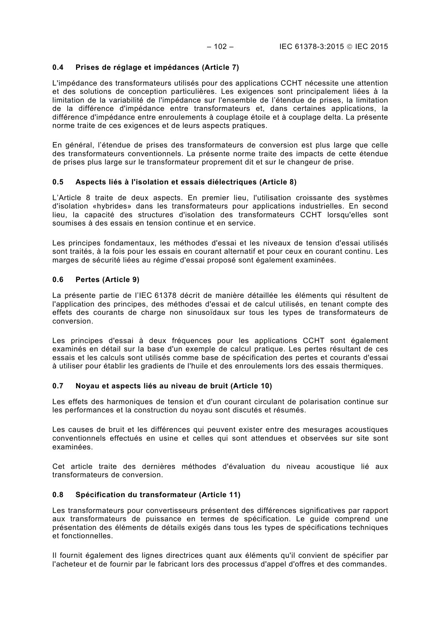## <span id="page-19-0"></span>**0.4 Prises de réglage et impédances (Article 7)**

L'impédance des transformateurs utilisés pour des applications CCHT nécessite une attention et des solutions de conception particulières. Les exigences sont principalement liées à la limitation de la variabilité de l'impédance sur l'ensemble de l'étendue de prises, la limitation de la différence d'impédance entre transformateurs et, dans certaines applications, la différence d'impédance entre enroulements à couplage étoile et à couplage delta. La présente norme traite de ces exigences et de leurs aspects pratiques.

En général, l'étendue de prises des transformateurs de conversion est plus large que celle des transformateurs conventionnels. La présente norme traite des impacts de cette étendue de prises plus large sur le transformateur proprement dit et sur le changeur de prise.

## <span id="page-19-1"></span>**0.5 Aspects liés à l'isolation et essais diélectriques (Article 8)**

L'Article 8 traite de deux aspects. En premier lieu, l'utilisation croissante des systèmes d'isolation «hybrides» dans les transformateurs pour applications industrielles. En second lieu, la capacité des structures d'isolation des transformateurs CCHT lorsqu'elles sont soumises à des essais en tension continue et en service.

Les principes fondamentaux, les méthodes d'essai et les niveaux de tension d'essai utilisés sont traités, à la fois pour les essais en courant alternatif et pour ceux en courant continu. Les marges de sécurité liées au régime d'essai proposé sont également examinées.

## <span id="page-19-2"></span>**0.6 Pertes (Article 9)**

La présente partie de l'IEC 61378 décrit de manière détaillée les éléments qui résultent de l'application des principes, des méthodes d'essai et de calcul utilisés, en tenant compte des effets des courants de charge non sinusoïdaux sur tous les types de transformateurs de conversion.

Les principes d'essai à deux fréquences pour les applications CCHT sont également examinés en détail sur la base d'un exemple de calcul pratique. Les pertes résultant de ces essais et les calculs sont utilisés comme base de spécification des pertes et courants d'essai à utiliser pour établir les gradients de l'huile et des enroulements lors des essais thermiques.

## <span id="page-19-3"></span>**0.7 Noyau et aspects liés au niveau de bruit (Article 10)**

Les effets des harmoniques de tension et d'un courant circulant de polarisation continue sur les performances et la construction du noyau sont discutés et résumés.

Les causes de bruit et les différences qui peuvent exister entre des mesurages acoustiques conventionnels effectués en usine et celles qui sont attendues et observées sur site sont examinées.

Cet article traite des dernières méthodes d'évaluation du niveau acoustique lié aux transformateurs de conversion.

# <span id="page-19-4"></span>**0.8 Spécification du transformateur (Article 11)**

Les transformateurs pour convertisseurs présentent des différences significatives par rapport aux transformateurs de puissance en termes de spécification. Le guide comprend une présentation des éléments de détails exigés dans tous les types de spécifications techniques et fonctionnelles.

Il fournit également des lignes directrices quant aux éléments qu'il convient de spécifier par l'acheteur et de fournir par le fabricant lors des processus d'appel d'offres et des commandes.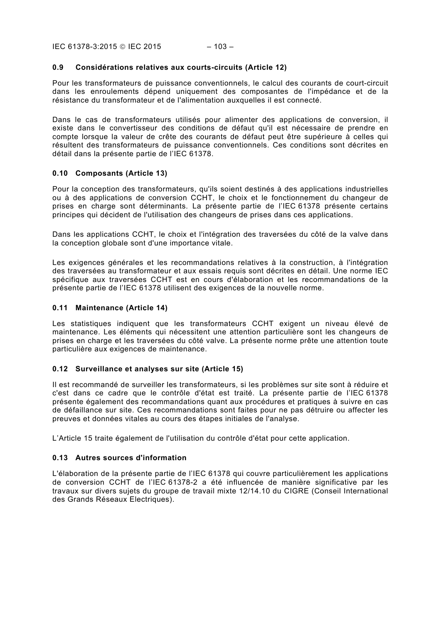## <span id="page-20-0"></span>**0.9 Considérations relatives aux courts-circuits (Article 12)**

Pour les transformateurs de puissance conventionnels, le calcul des courants de court-circuit dans les enroulements dépend uniquement des composantes de l'impédance et de la résistance du transformateur et de l'alimentation auxquelles il est connecté.

Dans le cas de transformateurs utilisés pour alimenter des applications de conversion, il existe dans le convertisseur des conditions de défaut qu'il est nécessaire de prendre en compte lorsque la valeur de crête des courants de défaut peut être supérieure à celles qui résultent des transformateurs de puissance conventionnels. Ces conditions sont décrites en détail dans la présente partie de l'IEC 61378.

## <span id="page-20-1"></span>**0.10 Composants (Article 13)**

Pour la conception des transformateurs, qu'ils soient destinés à des applications industrielles ou à des applications de conversion CCHT, le choix et le fonctionnement du changeur de prises en charge sont déterminants. La présente partie de l'IEC 61378 présente certains principes qui décident de l'utilisation des changeurs de prises dans ces applications.

Dans les applications CCHT, le choix et l'intégration des traversées du côté de la valve dans la conception globale sont d'une importance vitale.

Les exigences générales et les recommandations relatives à la construction, à l'intégration des traversées au transformateur et aux essais requis sont décrites en détail. Une norme IEC spécifique aux traversées CCHT est en cours d'élaboration et les recommandations de la présente partie de l'IEC 61378 utilisent des exigences de la nouvelle norme.

## <span id="page-20-2"></span>**0.11 Maintenance (Article 14)**

Les statistiques indiquent que les transformateurs CCHT exigent un niveau élevé de maintenance. Les éléments qui nécessitent une attention particulière sont les changeurs de prises en charge et les traversées du côté valve. La présente norme prête une attention toute particulière aux exigences de maintenance.

## <span id="page-20-3"></span>**0.12 Surveillance et analyses sur site (Article 15)**

Il est recommandé de surveiller les transformateurs, si les problèmes sur site sont à réduire et c'est dans ce cadre que le contrôle d'état est traité. La présente partie de l'IEC 61378 présente également des recommandations quant aux procédures et pratiques à suivre en cas de défaillance sur site. Ces recommandations sont faites pour ne pas détruire ou affecter les preuves et données vitales au cours des étapes initiales de l'analyse.

L'Article 15 traite également de l'utilisation du contrôle d'état pour cette application.

# <span id="page-20-4"></span>**0.13 Autres sources d'information**

L'élaboration de la présente partie de l'IEC 61378 qui couvre particulièrement les applications de conversion CCHT de l'IEC 61378-2 a été influencée de manière significative par les travaux sur divers sujets du groupe de travail mixte 12/14.10 du CIGRE (Conseil International des Grands Réseaux Electriques).